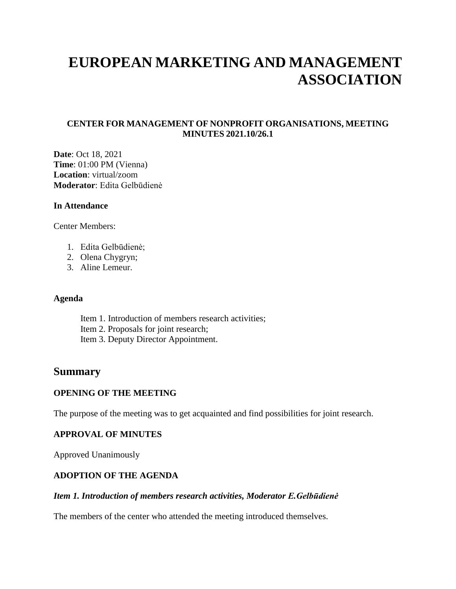# **EUROPEAN MARKETING AND MANAGEMENT ASSOCIATION**

## **CENTER FOR MANAGEMENT OF NONPROFIT ORGANISATIONS, MEETING MINUTES 2021.10/26.1**

**Date**: Oct 18, 2021 **Time**: 01:00 PM (Vienna) **Location**: virtual/zoom **Moderator**: Edita Gelbūdienė

#### **In Attendance**

Center Members:

- 1. Edita Gelbūdienė;
- 2. Olena Chygryn;
- 3. Aline Lemeur.

#### **Agenda**

Item 1. Introduction of members research activities; Item 2. Proposals for joint research; Item 3. Deputy Director Appointment.

# **Summary**

#### **OPENING OF THE MEETING**

The purpose of the meeting was to get acquainted and find possibilities for joint research.

#### **APPROVAL OF MINUTES**

Approved Unanimously

#### **ADOPTION OF THE AGENDA**

#### *Item 1. Introduction of members research activities, Moderator E.Gelbūdienė*

The members of the center who attended the meeting introduced themselves.